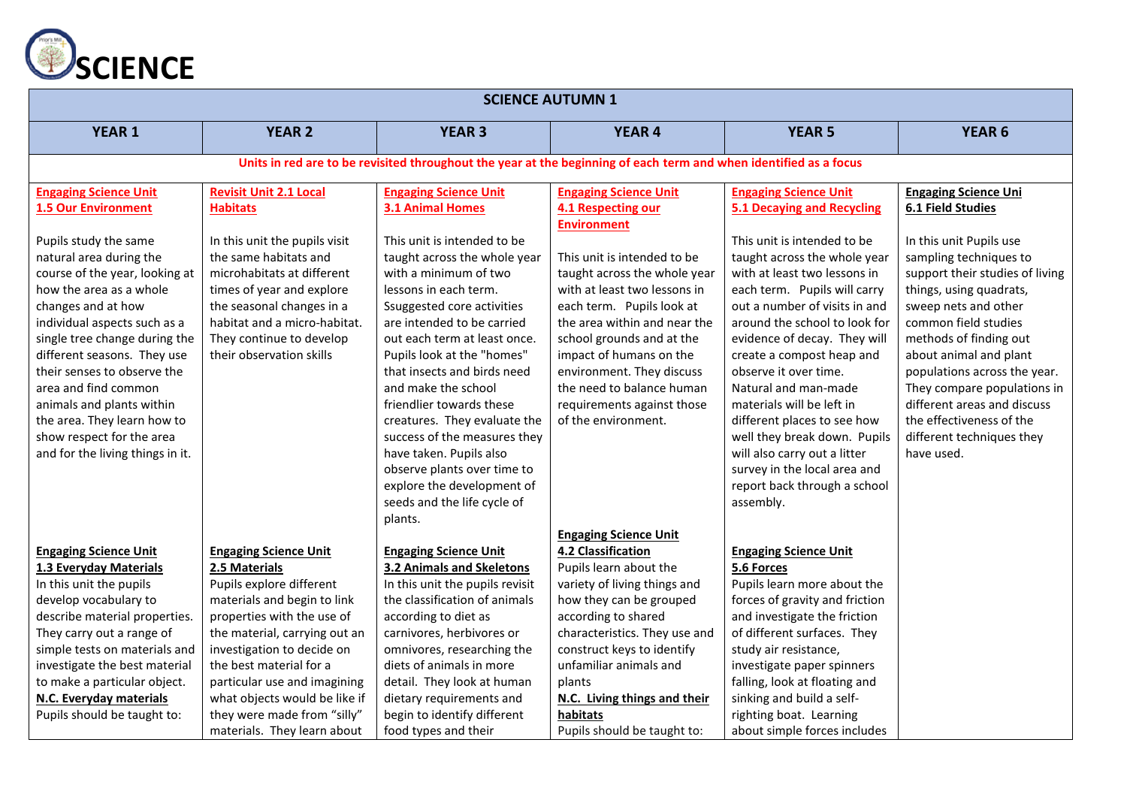

| <b>SCIENCE AUTUMN 1</b>                                                                                                                                                                                                                                                                                                                                                                                                 |                                                                                                                                                                                                                                                                                                                                                                 |                                                                                                                                                                                                                                                                                                                                                                                                                                                                                                                             |                                                                                                                                                                                                                                                                                                                                                       |                                                                                                                                                                                                                                                                                                                                                                                                                                                                                                                      |                                                                                                                                                                                                                                                                                                                                                                                          |  |  |  |  |
|-------------------------------------------------------------------------------------------------------------------------------------------------------------------------------------------------------------------------------------------------------------------------------------------------------------------------------------------------------------------------------------------------------------------------|-----------------------------------------------------------------------------------------------------------------------------------------------------------------------------------------------------------------------------------------------------------------------------------------------------------------------------------------------------------------|-----------------------------------------------------------------------------------------------------------------------------------------------------------------------------------------------------------------------------------------------------------------------------------------------------------------------------------------------------------------------------------------------------------------------------------------------------------------------------------------------------------------------------|-------------------------------------------------------------------------------------------------------------------------------------------------------------------------------------------------------------------------------------------------------------------------------------------------------------------------------------------------------|----------------------------------------------------------------------------------------------------------------------------------------------------------------------------------------------------------------------------------------------------------------------------------------------------------------------------------------------------------------------------------------------------------------------------------------------------------------------------------------------------------------------|------------------------------------------------------------------------------------------------------------------------------------------------------------------------------------------------------------------------------------------------------------------------------------------------------------------------------------------------------------------------------------------|--|--|--|--|
| <b>YEAR 1</b>                                                                                                                                                                                                                                                                                                                                                                                                           | <b>YEAR 2</b>                                                                                                                                                                                                                                                                                                                                                   | <b>YEAR 3</b>                                                                                                                                                                                                                                                                                                                                                                                                                                                                                                               | <b>YEAR 4</b>                                                                                                                                                                                                                                                                                                                                         | <b>YEAR 5</b>                                                                                                                                                                                                                                                                                                                                                                                                                                                                                                        | <b>YEAR 6</b>                                                                                                                                                                                                                                                                                                                                                                            |  |  |  |  |
|                                                                                                                                                                                                                                                                                                                                                                                                                         | Units in red are to be revisited throughout the year at the beginning of each term and when identified as a focus                                                                                                                                                                                                                                               |                                                                                                                                                                                                                                                                                                                                                                                                                                                                                                                             |                                                                                                                                                                                                                                                                                                                                                       |                                                                                                                                                                                                                                                                                                                                                                                                                                                                                                                      |                                                                                                                                                                                                                                                                                                                                                                                          |  |  |  |  |
| <b>Engaging Science Unit</b><br><b>1.5 Our Environment</b>                                                                                                                                                                                                                                                                                                                                                              | <b>Revisit Unit 2.1 Local</b><br><b>Habitats</b>                                                                                                                                                                                                                                                                                                                | <b>Engaging Science Unit</b><br><b>3.1 Animal Homes</b>                                                                                                                                                                                                                                                                                                                                                                                                                                                                     | <b>Engaging Science Unit</b><br>4.1 Respecting our                                                                                                                                                                                                                                                                                                    | <b>Engaging Science Unit</b><br><b>5.1 Decaying and Recycling</b>                                                                                                                                                                                                                                                                                                                                                                                                                                                    | <b>Engaging Science Uni</b><br><b>6.1 Field Studies</b>                                                                                                                                                                                                                                                                                                                                  |  |  |  |  |
| Pupils study the same<br>natural area during the<br>course of the year, looking at<br>how the area as a whole<br>changes and at how<br>individual aspects such as a<br>single tree change during the<br>different seasons. They use<br>their senses to observe the<br>area and find common<br>animals and plants within<br>the area. They learn how to<br>show respect for the area<br>and for the living things in it. | In this unit the pupils visit<br>the same habitats and<br>microhabitats at different<br>times of year and explore<br>the seasonal changes in a<br>habitat and a micro-habitat.<br>They continue to develop<br>their observation skills                                                                                                                          | This unit is intended to be<br>taught across the whole year<br>with a minimum of two<br>lessons in each term.<br>Ssuggested core activities<br>are intended to be carried<br>out each term at least once.<br>Pupils look at the "homes"<br>that insects and birds need<br>and make the school<br>friendlier towards these<br>creatures. They evaluate the<br>success of the measures they<br>have taken. Pupils also<br>observe plants over time to<br>explore the development of<br>seeds and the life cycle of<br>plants. | <b>Environment</b><br>This unit is intended to be<br>taught across the whole year<br>with at least two lessons in<br>each term. Pupils look at<br>the area within and near the<br>school grounds and at the<br>impact of humans on the<br>environment. They discuss<br>the need to balance human<br>requirements against those<br>of the environment. | This unit is intended to be<br>taught across the whole year<br>with at least two lessons in<br>each term. Pupils will carry<br>out a number of visits in and<br>around the school to look for<br>evidence of decay. They will<br>create a compost heap and<br>observe it over time.<br>Natural and man-made<br>materials will be left in<br>different places to see how<br>well they break down. Pupils<br>will also carry out a litter<br>survey in the local area and<br>report back through a school<br>assembly. | In this unit Pupils use<br>sampling techniques to<br>support their studies of living<br>things, using quadrats,<br>sweep nets and other<br>common field studies<br>methods of finding out<br>about animal and plant<br>populations across the year.<br>They compare populations in<br>different areas and discuss<br>the effectiveness of the<br>different techniques they<br>have used. |  |  |  |  |
| <b>Engaging Science Unit</b><br>1.3 Everyday Materials<br>In this unit the pupils<br>develop vocabulary to<br>describe material properties.<br>They carry out a range of<br>simple tests on materials and<br>investigate the best material<br>to make a particular object.<br>N.C. Everyday materials<br>Pupils should be taught to:                                                                                    | <b>Engaging Science Unit</b><br>2.5 Materials<br>Pupils explore different<br>materials and begin to link<br>properties with the use of<br>the material, carrying out an<br>investigation to decide on<br>the best material for a<br>particular use and imagining<br>what objects would be like if<br>they were made from "silly"<br>materials. They learn about | <b>Engaging Science Unit</b><br>3.2 Animals and Skeletons<br>In this unit the pupils revisit<br>the classification of animals<br>according to diet as<br>carnivores, herbivores or<br>omnivores, researching the<br>diets of animals in more<br>detail. They look at human<br>dietary requirements and<br>begin to identify different<br>food types and their                                                                                                                                                               | <b>Engaging Science Unit</b><br>4.2 Classification<br>Pupils learn about the<br>variety of living things and<br>how they can be grouped<br>according to shared<br>characteristics. They use and<br>construct keys to identify<br>unfamiliar animals and<br>plants<br>N.C. Living things and their<br>habitats<br>Pupils should be taught to:          | <b>Engaging Science Unit</b><br>5.6 Forces<br>Pupils learn more about the<br>forces of gravity and friction<br>and investigate the friction<br>of different surfaces. They<br>study air resistance,<br>investigate paper spinners<br>falling, look at floating and<br>sinking and build a self-<br>righting boat. Learning<br>about simple forces includes                                                                                                                                                           |                                                                                                                                                                                                                                                                                                                                                                                          |  |  |  |  |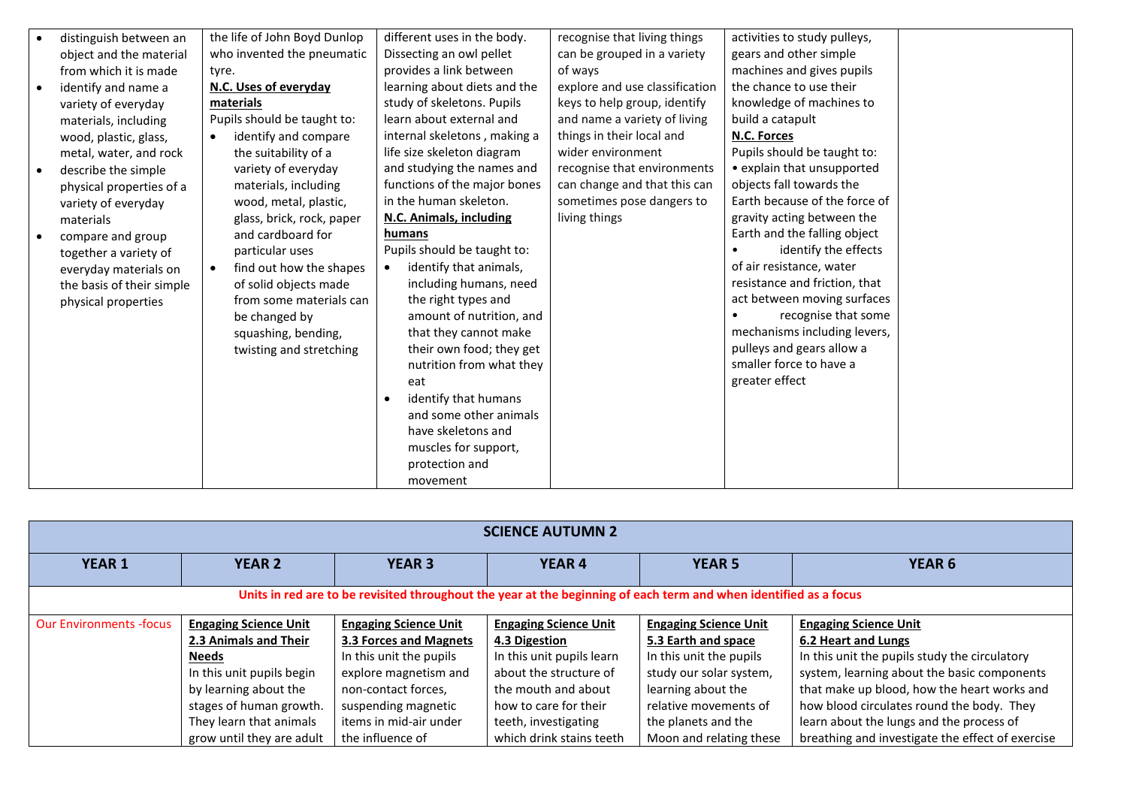| distinguish between an    | the life of John Boyd Dunlop      | different uses in the body.         | recognise that living things   | activities to study pulleys,  |  |
|---------------------------|-----------------------------------|-------------------------------------|--------------------------------|-------------------------------|--|
| object and the material   | who invented the pneumatic        | Dissecting an owl pellet            | can be grouped in a variety    | gears and other simple        |  |
| from which it is made     | tyre.                             | provides a link between             | of ways                        | machines and gives pupils     |  |
| identify and name a       | N.C. Uses of everyday             | learning about diets and the        | explore and use classification | the chance to use their       |  |
| variety of everyday       | materials                         | study of skeletons. Pupils          | keys to help group, identify   | knowledge of machines to      |  |
| materials, including      | Pupils should be taught to:       | learn about external and            | and name a variety of living   | build a catapult              |  |
| wood, plastic, glass,     | identify and compare<br>$\bullet$ | internal skeletons, making a        | things in their local and      | N.C. Forces                   |  |
| metal, water, and rock    | the suitability of a              | life size skeleton diagram          | wider environment              | Pupils should be taught to:   |  |
| describe the simple       | variety of everyday               | and studying the names and          | recognise that environments    | • explain that unsupported    |  |
| physical properties of a  | materials, including              | functions of the major bones        | can change and that this can   | objects fall towards the      |  |
| variety of everyday       | wood, metal, plastic,             | in the human skeleton.              | sometimes pose dangers to      | Earth because of the force of |  |
| materials                 | glass, brick, rock, paper         | N.C. Animals, including             | living things                  | gravity acting between the    |  |
| compare and group         | and cardboard for                 | humans                              |                                | Earth and the falling object  |  |
| together a variety of     | particular uses                   | Pupils should be taught to:         |                                | identify the effects          |  |
| everyday materials on     | find out how the shapes           | identify that animals,<br>$\bullet$ |                                | of air resistance, water      |  |
| the basis of their simple | of solid objects made             | including humans, need              |                                | resistance and friction, that |  |
| physical properties       | from some materials can           | the right types and                 |                                | act between moving surfaces   |  |
|                           | be changed by                     | amount of nutrition, and            |                                | recognise that some           |  |
|                           | squashing, bending,               | that they cannot make               |                                | mechanisms including levers,  |  |
|                           | twisting and stretching           | their own food; they get            |                                | pulleys and gears allow a     |  |
|                           |                                   | nutrition from what they            |                                | smaller force to have a       |  |
|                           |                                   | eat                                 |                                | greater effect                |  |
|                           |                                   | identify that humans                |                                |                               |  |
|                           |                                   | and some other animals              |                                |                               |  |
|                           |                                   | have skeletons and                  |                                |                               |  |
|                           |                                   | muscles for support,                |                                |                               |  |
|                           |                                   | protection and                      |                                |                               |  |
|                           |                                   | movement                            |                                |                               |  |

| <b>SCIENCE AUTUMN 2</b>                                                                                           |                              |                              |                              |                              |                                                  |  |  |
|-------------------------------------------------------------------------------------------------------------------|------------------------------|------------------------------|------------------------------|------------------------------|--------------------------------------------------|--|--|
| <b>YEAR 1</b>                                                                                                     | <b>YEAR 2</b>                | <b>YEAR 3</b>                | <b>YEAR4</b>                 | <b>YEAR 5</b>                | <b>YEAR 6</b>                                    |  |  |
| Units in red are to be revisited throughout the year at the beginning of each term and when identified as a focus |                              |                              |                              |                              |                                                  |  |  |
| <b>Our Environments -focus</b>                                                                                    | <b>Engaging Science Unit</b> | <b>Engaging Science Unit</b> | <b>Engaging Science Unit</b> | <b>Engaging Science Unit</b> | <b>Engaging Science Unit</b>                     |  |  |
|                                                                                                                   | 2.3 Animals and Their        | 3.3 Forces and Magnets       | 4.3 Digestion                | 5.3 Earth and space          | 6.2 Heart and Lungs                              |  |  |
|                                                                                                                   | <b>Needs</b>                 | In this unit the pupils      | In this unit pupils learn    | In this unit the pupils      | In this unit the pupils study the circulatory    |  |  |
|                                                                                                                   | In this unit pupils begin    | explore magnetism and        | about the structure of       | study our solar system,      | system, learning about the basic components      |  |  |
|                                                                                                                   | by learning about the        | non-contact forces,          | the mouth and about          | learning about the           | that make up blood, how the heart works and      |  |  |
|                                                                                                                   | stages of human growth.      | suspending magnetic          | how to care for their        | relative movements of        | how blood circulates round the body. They        |  |  |
|                                                                                                                   | They learn that animals      | items in mid-air under       | teeth, investigating         | the planets and the          | learn about the lungs and the process of         |  |  |
|                                                                                                                   | grow until they are adult    | the influence of             | which drink stains teeth     | Moon and relating these      | breathing and investigate the effect of exercise |  |  |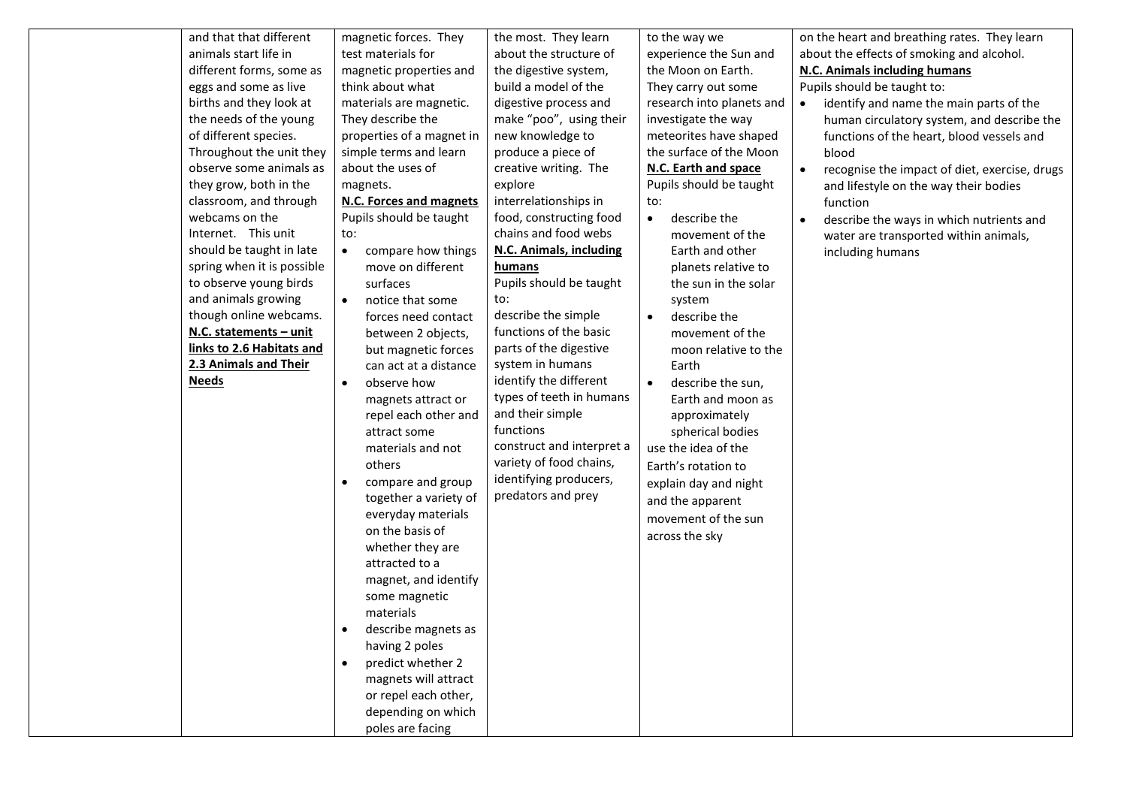| and that that different    | magnetic forces. They                                                                                                                                                                                                                                                                                                                                                                                                                                          | the most. They learn                                                                                                                                                                        | to the way we                                                                                                                                                                                                                | on the heart and breathing rates. They learn               |
|----------------------------|----------------------------------------------------------------------------------------------------------------------------------------------------------------------------------------------------------------------------------------------------------------------------------------------------------------------------------------------------------------------------------------------------------------------------------------------------------------|---------------------------------------------------------------------------------------------------------------------------------------------------------------------------------------------|------------------------------------------------------------------------------------------------------------------------------------------------------------------------------------------------------------------------------|------------------------------------------------------------|
| animals start life in      | test materials for                                                                                                                                                                                                                                                                                                                                                                                                                                             | about the structure of                                                                                                                                                                      | experience the Sun and                                                                                                                                                                                                       | about the effects of smoking and alcohol.                  |
| different forms, some as   | magnetic properties and                                                                                                                                                                                                                                                                                                                                                                                                                                        | the digestive system,                                                                                                                                                                       | the Moon on Earth.                                                                                                                                                                                                           | <b>N.C. Animals including humans</b>                       |
| eggs and some as live      | think about what                                                                                                                                                                                                                                                                                                                                                                                                                                               | build a model of the                                                                                                                                                                        | They carry out some                                                                                                                                                                                                          | Pupils should be taught to:                                |
| births and they look at    | materials are magnetic.                                                                                                                                                                                                                                                                                                                                                                                                                                        | digestive process and                                                                                                                                                                       | research into planets and                                                                                                                                                                                                    | identify and name the main parts of the<br>$\bullet$       |
| the needs of the young     | They describe the                                                                                                                                                                                                                                                                                                                                                                                                                                              | make "poo", using their                                                                                                                                                                     | investigate the way                                                                                                                                                                                                          | human circulatory system, and describe the                 |
| of different species.      | properties of a magnet in                                                                                                                                                                                                                                                                                                                                                                                                                                      | new knowledge to                                                                                                                                                                            | meteorites have shaped                                                                                                                                                                                                       | functions of the heart, blood vessels and                  |
| Throughout the unit they   | simple terms and learn                                                                                                                                                                                                                                                                                                                                                                                                                                         | produce a piece of                                                                                                                                                                          | the surface of the Moon                                                                                                                                                                                                      | blood                                                      |
| observe some animals as    | about the uses of                                                                                                                                                                                                                                                                                                                                                                                                                                              | creative writing. The                                                                                                                                                                       | N.C. Earth and space                                                                                                                                                                                                         | recognise the impact of diet, exercise, drugs<br>$\bullet$ |
| they grow, both in the     | magnets.                                                                                                                                                                                                                                                                                                                                                                                                                                                       | explore                                                                                                                                                                                     | Pupils should be taught                                                                                                                                                                                                      | and lifestyle on the way their bodies                      |
| classroom, and through     | <b>N.C. Forces and magnets</b>                                                                                                                                                                                                                                                                                                                                                                                                                                 | interrelationships in                                                                                                                                                                       | to:                                                                                                                                                                                                                          | function                                                   |
| webcams on the             | Pupils should be taught                                                                                                                                                                                                                                                                                                                                                                                                                                        | food, constructing food                                                                                                                                                                     | describe the<br>$\bullet$                                                                                                                                                                                                    | describe the ways in which nutrients and<br>$\bullet$      |
| Internet. This unit        | to:                                                                                                                                                                                                                                                                                                                                                                                                                                                            | chains and food webs                                                                                                                                                                        | movement of the                                                                                                                                                                                                              | water are transported within animals,                      |
| should be taught in late   | compare how things                                                                                                                                                                                                                                                                                                                                                                                                                                             | <b>N.C. Animals, including</b>                                                                                                                                                              | Earth and other                                                                                                                                                                                                              | including humans                                           |
| spring when it is possible | move on different                                                                                                                                                                                                                                                                                                                                                                                                                                              | humans                                                                                                                                                                                      | planets relative to                                                                                                                                                                                                          |                                                            |
| to observe young birds     | surfaces                                                                                                                                                                                                                                                                                                                                                                                                                                                       | Pupils should be taught                                                                                                                                                                     | the sun in the solar                                                                                                                                                                                                         |                                                            |
| and animals growing        | notice that some                                                                                                                                                                                                                                                                                                                                                                                                                                               | to:                                                                                                                                                                                         | system                                                                                                                                                                                                                       |                                                            |
| though online webcams.     | forces need contact                                                                                                                                                                                                                                                                                                                                                                                                                                            | describe the simple                                                                                                                                                                         | describe the<br>$\bullet$                                                                                                                                                                                                    |                                                            |
| N.C. statements - unit     | between 2 objects,                                                                                                                                                                                                                                                                                                                                                                                                                                             | functions of the basic                                                                                                                                                                      | movement of the                                                                                                                                                                                                              |                                                            |
| links to 2.6 Habitats and  | but magnetic forces                                                                                                                                                                                                                                                                                                                                                                                                                                            | parts of the digestive                                                                                                                                                                      | moon relative to the                                                                                                                                                                                                         |                                                            |
| 2.3 Animals and Their      | can act at a distance                                                                                                                                                                                                                                                                                                                                                                                                                                          | system in humans                                                                                                                                                                            | Earth                                                                                                                                                                                                                        |                                                            |
| <b>Needs</b>               | observe how<br>٠<br>magnets attract or<br>repel each other and<br>attract some<br>materials and not<br>others<br>compare and group<br>$\bullet$<br>together a variety of<br>everyday materials<br>on the basis of<br>whether they are<br>attracted to a<br>magnet, and identify<br>some magnetic<br>materials<br>describe magnets as<br>having 2 poles<br>predict whether 2<br>$\bullet$<br>magnets will attract<br>or repel each other,<br>depending on which | identify the different<br>types of teeth in humans<br>and their simple<br>functions<br>construct and interpret a<br>variety of food chains,<br>identifying producers,<br>predators and prey | describe the sun,<br>$\bullet$<br>Earth and moon as<br>approximately<br>spherical bodies<br>use the idea of the<br>Earth's rotation to<br>explain day and night<br>and the apparent<br>movement of the sun<br>across the sky |                                                            |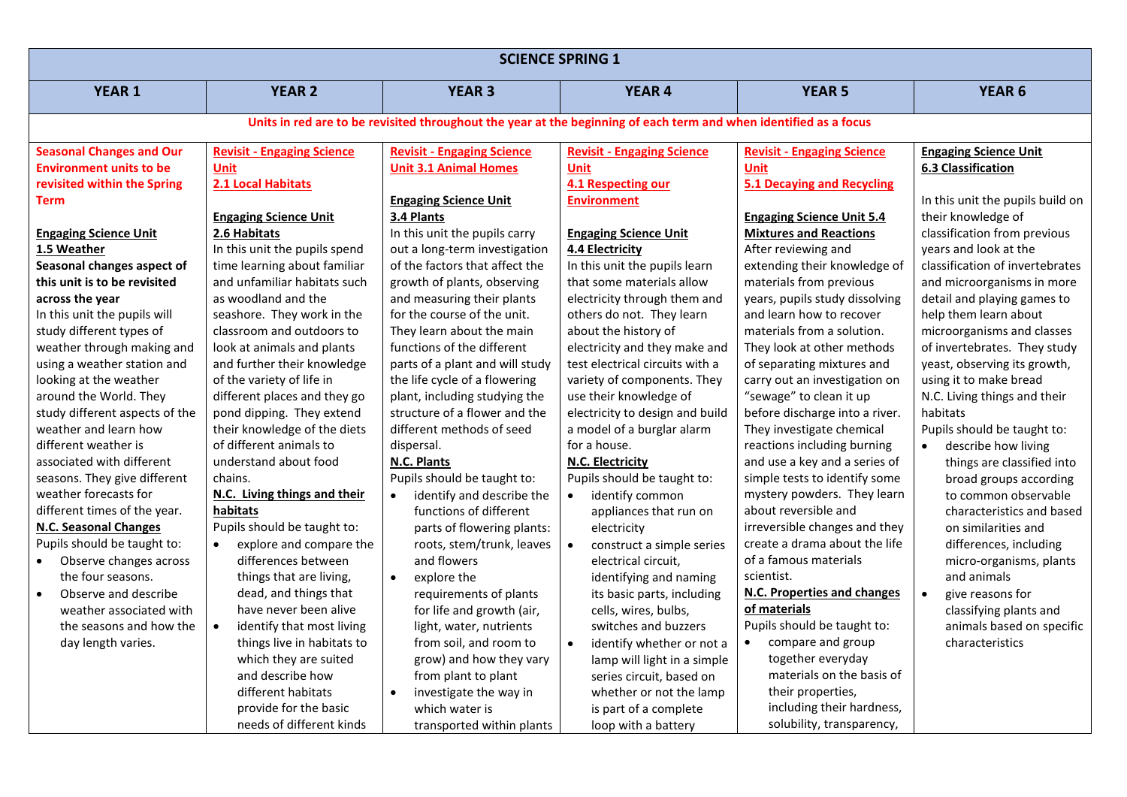| <b>SCIENCE SPRING 1</b>             |                                                                                                                   |                                        |                                        |                                   |                                  |  |  |  |
|-------------------------------------|-------------------------------------------------------------------------------------------------------------------|----------------------------------------|----------------------------------------|-----------------------------------|----------------------------------|--|--|--|
| <b>YEAR 1</b>                       | <b>YEAR 2</b>                                                                                                     | <b>YEAR 3</b>                          | <b>YEAR 4</b>                          | <b>YEAR 5</b>                     | YEAR <sub>6</sub>                |  |  |  |
|                                     | Units in red are to be revisited throughout the year at the beginning of each term and when identified as a focus |                                        |                                        |                                   |                                  |  |  |  |
| <b>Seasonal Changes and Our</b>     | <b>Revisit - Engaging Science</b>                                                                                 | <b>Revisit - Engaging Science</b>      | <b>Revisit - Engaging Science</b>      | <b>Revisit - Engaging Science</b> | <b>Engaging Science Unit</b>     |  |  |  |
| <b>Environment units to be</b>      | <b>Unit</b>                                                                                                       | <b>Unit 3.1 Animal Homes</b>           | <b>Unit</b>                            | <b>Unit</b>                       | <b>6.3 Classification</b>        |  |  |  |
| revisited within the Spring         | 2.1 Local Habitats                                                                                                |                                        | 4.1 Respecting our                     | <b>5.1 Decaying and Recycling</b> |                                  |  |  |  |
| Term                                |                                                                                                                   | <b>Engaging Science Unit</b>           | <b>Environment</b>                     |                                   | In this unit the pupils build on |  |  |  |
|                                     | <b>Engaging Science Unit</b>                                                                                      | 3.4 Plants                             |                                        | <b>Engaging Science Unit 5.4</b>  | their knowledge of               |  |  |  |
| <b>Engaging Science Unit</b>        | 2.6 Habitats                                                                                                      | In this unit the pupils carry          | <b>Engaging Science Unit</b>           | <b>Mixtures and Reactions</b>     | classification from previous     |  |  |  |
| 1.5 Weather                         | In this unit the pupils spend                                                                                     | out a long-term investigation          | 4.4 Electricity                        | After reviewing and               | years and look at the            |  |  |  |
| Seasonal changes aspect of          | time learning about familiar                                                                                      | of the factors that affect the         | In this unit the pupils learn          | extending their knowledge of      | classification of invertebrates  |  |  |  |
| this unit is to be revisited        | and unfamiliar habitats such                                                                                      | growth of plants, observing            | that some materials allow              | materials from previous           | and microorganisms in more       |  |  |  |
| across the year                     | as woodland and the                                                                                               | and measuring their plants             | electricity through them and           | years, pupils study dissolving    | detail and playing games to      |  |  |  |
| In this unit the pupils will        | seashore. They work in the                                                                                        | for the course of the unit.            | others do not. They learn              | and learn how to recover          | help them learn about            |  |  |  |
| study different types of            | classroom and outdoors to                                                                                         | They learn about the main              | about the history of                   | materials from a solution.        | microorganisms and classes       |  |  |  |
| weather through making and          | look at animals and plants                                                                                        | functions of the different             | electricity and they make and          | They look at other methods        | of invertebrates. They study     |  |  |  |
| using a weather station and         | and further their knowledge                                                                                       | parts of a plant and will study        | test electrical circuits with a        | of separating mixtures and        | yeast, observing its growth,     |  |  |  |
| looking at the weather              | of the variety of life in                                                                                         | the life cycle of a flowering          | variety of components. They            | carry out an investigation on     | using it to make bread           |  |  |  |
| around the World. They              | different places and they go                                                                                      | plant, including studying the          | use their knowledge of                 | "sewage" to clean it up           | N.C. Living things and their     |  |  |  |
| study different aspects of the      | pond dipping. They extend                                                                                         | structure of a flower and the          | electricity to design and build        | before discharge into a river.    | habitats                         |  |  |  |
| weather and learn how               | their knowledge of the diets                                                                                      | different methods of seed              | a model of a burglar alarm             | They investigate chemical         | Pupils should be taught to:      |  |  |  |
| different weather is                | of different animals to                                                                                           | dispersal.                             | for a house.                           | reactions including burning       | describe how living              |  |  |  |
| associated with different           | understand about food                                                                                             | N.C. Plants                            | N.C. Electricity                       | and use a key and a series of     | things are classified into       |  |  |  |
| seasons. They give different        | chains.                                                                                                           | Pupils should be taught to:            | Pupils should be taught to:            | simple tests to identify some     | broad groups according           |  |  |  |
| weather forecasts for               | N.C. Living things and their                                                                                      | identify and describe the<br>$\bullet$ | $\bullet$<br>identify common           | mystery powders. They learn       | to common observable             |  |  |  |
| different times of the year.        | habitats                                                                                                          | functions of different                 | appliances that run on                 | about reversible and              | characteristics and based        |  |  |  |
| <b>N.C. Seasonal Changes</b>        | Pupils should be taught to:                                                                                       | parts of flowering plants:             | electricity                            | irreversible changes and they     | on similarities and              |  |  |  |
| Pupils should be taught to:         | explore and compare the                                                                                           | roots, stem/trunk, leaves              | $\bullet$<br>construct a simple series | create a drama about the life     | differences, including           |  |  |  |
| Observe changes across<br>$\bullet$ | differences between                                                                                               | and flowers                            | electrical circuit,                    | of a famous materials             | micro-organisms, plants          |  |  |  |
| the four seasons.                   | things that are living,                                                                                           | explore the<br>$\bullet$               | identifying and naming                 | scientist.                        | and animals                      |  |  |  |
| Observe and describe<br>$\bullet$   | dead, and things that                                                                                             | requirements of plants                 | its basic parts, including             | N.C. Properties and changes       | $\bullet$<br>give reasons for    |  |  |  |
| weather associated with             | have never been alive                                                                                             | for life and growth (air,              | cells, wires, bulbs,                   | of materials                      | classifying plants and           |  |  |  |
| the seasons and how the             | identify that most living<br>$\bullet$                                                                            | light, water, nutrients                | switches and buzzers                   | Pupils should be taught to:       | animals based on specific        |  |  |  |
| day length varies.                  | things live in habitats to                                                                                        | from soil, and room to                 | $\bullet$<br>identify whether or not a | compare and group<br>$\bullet$    | characteristics                  |  |  |  |
|                                     | which they are suited                                                                                             | grow) and how they vary                | lamp will light in a simple            | together everyday                 |                                  |  |  |  |
|                                     | and describe how                                                                                                  | from plant to plant                    | series circuit, based on               | materials on the basis of         |                                  |  |  |  |
|                                     | different habitats                                                                                                | investigate the way in<br>$\bullet$    | whether or not the lamp                | their properties,                 |                                  |  |  |  |
|                                     | provide for the basic                                                                                             | which water is                         | is part of a complete                  | including their hardness,         |                                  |  |  |  |
|                                     | needs of different kinds                                                                                          | transported within plants              | loop with a battery                    | solubility, transparency,         |                                  |  |  |  |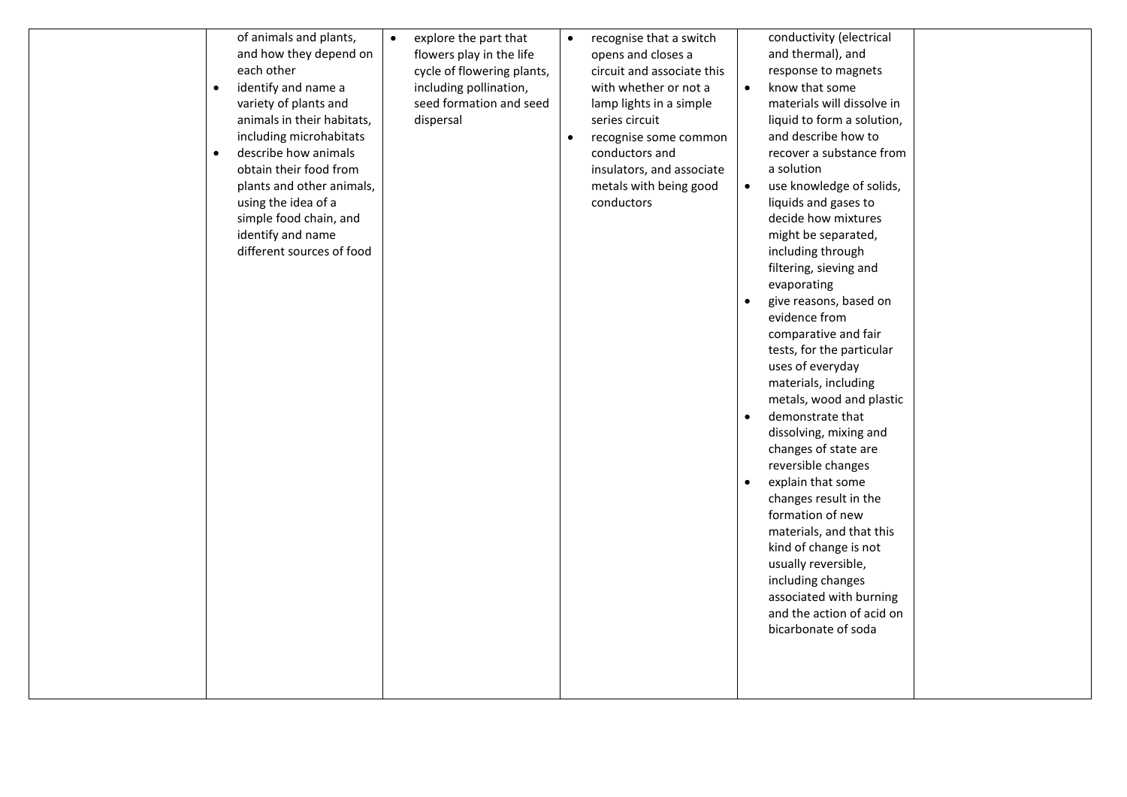| $\bullet$<br>$\bullet$ | of animals and plants,<br>and how they depend on<br>each other<br>identify and name a<br>variety of plants and<br>animals in their habitats,<br>including microhabitats<br>describe how animals<br>obtain their food from<br>plants and other animals,<br>using the idea of a<br>simple food chain, and<br>identify and name<br>different sources of food | $\bullet$ | explore the part that<br>flowers play in the life<br>cycle of flowering plants,<br>including pollination,<br>seed formation and seed<br>dispersal | $\bullet$ | recognise that a switch<br>opens and closes a<br>circuit and associate this<br>with whether or not a<br>lamp lights in a simple<br>series circuit<br>recognise some common<br>conductors and<br>insulators, and associate<br>metals with being good<br>conductors | $\bullet$<br>$\bullet$<br>$\bullet$<br>$\bullet$<br>$\bullet$ | conductivity (electrical<br>and thermal), and<br>response to magnets<br>know that some<br>materials will dissolve in<br>liquid to form a solution,<br>and describe how to<br>recover a substance from<br>a solution<br>use knowledge of solids,<br>liquids and gases to<br>decide how mixtures<br>might be separated,<br>including through<br>filtering, sieving and<br>evaporating<br>give reasons, based on<br>evidence from<br>comparative and fair<br>tests, for the particular<br>uses of everyday<br>materials, including<br>metals, wood and plastic<br>demonstrate that<br>dissolving, mixing and<br>changes of state are<br>reversible changes<br>explain that some<br>changes result in the<br>formation of new<br>materials, and that this<br>kind of change is not<br>usually reversible,<br>including changes<br>associated with burning<br>and the action of acid on<br>bicarbonate of soda |  |
|------------------------|-----------------------------------------------------------------------------------------------------------------------------------------------------------------------------------------------------------------------------------------------------------------------------------------------------------------------------------------------------------|-----------|---------------------------------------------------------------------------------------------------------------------------------------------------|-----------|-------------------------------------------------------------------------------------------------------------------------------------------------------------------------------------------------------------------------------------------------------------------|---------------------------------------------------------------|-----------------------------------------------------------------------------------------------------------------------------------------------------------------------------------------------------------------------------------------------------------------------------------------------------------------------------------------------------------------------------------------------------------------------------------------------------------------------------------------------------------------------------------------------------------------------------------------------------------------------------------------------------------------------------------------------------------------------------------------------------------------------------------------------------------------------------------------------------------------------------------------------------------|--|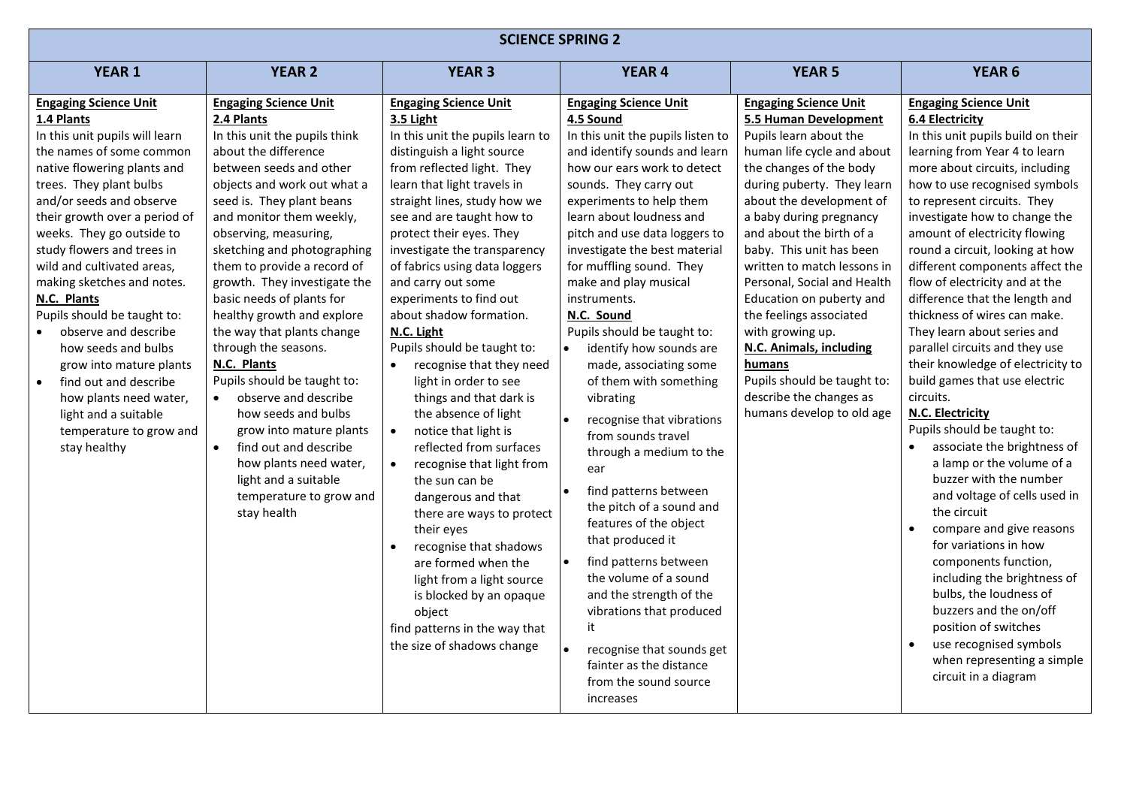| <b>SCIENCE SPRING 2</b>                                                                                                                                                                                                                                                                                                                                                                                                                                                                                                                                                                              |                                                                                                                                                                                                                                                                                                                                                                                                                                                                                                                                                                                                                                                                                                                                       |                                                                                                                                                                                                                                                                                                                                                                                                                                                                                                                                                                                                                                                                                                                                                                                                                                                                                                                                       |                                                                                                                                                                                                                                                                                                                                                                                                                                                                                                                                                                                                                                                                                                                                                                                                                                                                                                                       |                                                                                                                                                                                                                                                                                                                                                                                                                                                                                                                                                            |                                                                                                                                                                                                                                                                                                                                                                                                                                                                                                                                                                                                                                                                                                                                                                                                                                                                                                                                                                                                                                                                                                                                               |  |  |
|------------------------------------------------------------------------------------------------------------------------------------------------------------------------------------------------------------------------------------------------------------------------------------------------------------------------------------------------------------------------------------------------------------------------------------------------------------------------------------------------------------------------------------------------------------------------------------------------------|---------------------------------------------------------------------------------------------------------------------------------------------------------------------------------------------------------------------------------------------------------------------------------------------------------------------------------------------------------------------------------------------------------------------------------------------------------------------------------------------------------------------------------------------------------------------------------------------------------------------------------------------------------------------------------------------------------------------------------------|---------------------------------------------------------------------------------------------------------------------------------------------------------------------------------------------------------------------------------------------------------------------------------------------------------------------------------------------------------------------------------------------------------------------------------------------------------------------------------------------------------------------------------------------------------------------------------------------------------------------------------------------------------------------------------------------------------------------------------------------------------------------------------------------------------------------------------------------------------------------------------------------------------------------------------------|-----------------------------------------------------------------------------------------------------------------------------------------------------------------------------------------------------------------------------------------------------------------------------------------------------------------------------------------------------------------------------------------------------------------------------------------------------------------------------------------------------------------------------------------------------------------------------------------------------------------------------------------------------------------------------------------------------------------------------------------------------------------------------------------------------------------------------------------------------------------------------------------------------------------------|------------------------------------------------------------------------------------------------------------------------------------------------------------------------------------------------------------------------------------------------------------------------------------------------------------------------------------------------------------------------------------------------------------------------------------------------------------------------------------------------------------------------------------------------------------|-----------------------------------------------------------------------------------------------------------------------------------------------------------------------------------------------------------------------------------------------------------------------------------------------------------------------------------------------------------------------------------------------------------------------------------------------------------------------------------------------------------------------------------------------------------------------------------------------------------------------------------------------------------------------------------------------------------------------------------------------------------------------------------------------------------------------------------------------------------------------------------------------------------------------------------------------------------------------------------------------------------------------------------------------------------------------------------------------------------------------------------------------|--|--|
| <b>YEAR 1</b>                                                                                                                                                                                                                                                                                                                                                                                                                                                                                                                                                                                        | <b>YEAR 2</b>                                                                                                                                                                                                                                                                                                                                                                                                                                                                                                                                                                                                                                                                                                                         | <b>YEAR 3</b>                                                                                                                                                                                                                                                                                                                                                                                                                                                                                                                                                                                                                                                                                                                                                                                                                                                                                                                         | <b>YEAR 4</b>                                                                                                                                                                                                                                                                                                                                                                                                                                                                                                                                                                                                                                                                                                                                                                                                                                                                                                         | <b>YEAR 5</b>                                                                                                                                                                                                                                                                                                                                                                                                                                                                                                                                              | <b>YEAR 6</b>                                                                                                                                                                                                                                                                                                                                                                                                                                                                                                                                                                                                                                                                                                                                                                                                                                                                                                                                                                                                                                                                                                                                 |  |  |
| <b>Engaging Science Unit</b><br>1.4 Plants<br>In this unit pupils will learn<br>the names of some common<br>native flowering plants and<br>trees. They plant bulbs<br>and/or seeds and observe<br>their growth over a period of<br>weeks. They go outside to<br>study flowers and trees in<br>wild and cultivated areas,<br>making sketches and notes.<br>N.C. Plants<br>Pupils should be taught to:<br>observe and describe<br>how seeds and bulbs<br>grow into mature plants<br>find out and describe<br>how plants need water,<br>light and a suitable<br>temperature to grow and<br>stay healthy | <b>Engaging Science Unit</b><br>2.4 Plants<br>In this unit the pupils think<br>about the difference<br>between seeds and other<br>objects and work out what a<br>seed is. They plant beans<br>and monitor them weekly,<br>observing, measuring,<br>sketching and photographing<br>them to provide a record of<br>growth. They investigate the<br>basic needs of plants for<br>healthy growth and explore<br>the way that plants change<br>through the seasons.<br>N.C. Plants<br>Pupils should be taught to:<br>observe and describe<br>$\bullet$<br>how seeds and bulbs<br>grow into mature plants<br>find out and describe<br>$\bullet$<br>how plants need water,<br>light and a suitable<br>temperature to grow and<br>stay health | <b>Engaging Science Unit</b><br>3.5 Light<br>In this unit the pupils learn to<br>distinguish a light source<br>from reflected light. They<br>learn that light travels in<br>straight lines, study how we<br>see and are taught how to<br>protect their eyes. They<br>investigate the transparency<br>of fabrics using data loggers<br>and carry out some<br>experiments to find out<br>about shadow formation.<br>N.C. Light<br>Pupils should be taught to:<br>recognise that they need<br>light in order to see<br>things and that dark is<br>the absence of light<br>notice that light is<br>$\bullet$<br>reflected from surfaces<br>recognise that light from<br>the sun can be<br>dangerous and that<br>there are ways to protect<br>their eyes<br>recognise that shadows<br>are formed when the<br>light from a light source<br>is blocked by an opaque<br>object<br>find patterns in the way that<br>the size of shadows change | <b>Engaging Science Unit</b><br>4.5 Sound<br>In this unit the pupils listen to<br>and identify sounds and learn<br>how our ears work to detect<br>sounds. They carry out<br>experiments to help them<br>learn about loudness and<br>pitch and use data loggers to<br>investigate the best material<br>for muffling sound. They<br>make and play musical<br>instruments.<br>N.C. Sound<br>Pupils should be taught to:<br>identify how sounds are<br>made, associating some<br>of them with something<br>vibrating<br>recognise that vibrations<br>from sounds travel<br>through a medium to the<br>ear<br>find patterns between<br>the pitch of a sound and<br>features of the object<br>that produced it<br>find patterns between<br>the volume of a sound<br>and the strength of the<br>vibrations that produced<br>it<br>recognise that sounds get<br>fainter as the distance<br>from the sound source<br>increases | <b>Engaging Science Unit</b><br>5.5 Human Development<br>Pupils learn about the<br>human life cycle and about<br>the changes of the body<br>during puberty. They learn<br>about the development of<br>a baby during pregnancy<br>and about the birth of a<br>baby. This unit has been<br>written to match lessons in<br>Personal, Social and Health<br>Education on puberty and<br>the feelings associated<br>with growing up.<br>N.C. Animals, including<br>humans<br>Pupils should be taught to:<br>describe the changes as<br>humans develop to old age | <b>Engaging Science Unit</b><br><b>6.4 Electricity</b><br>In this unit pupils build on their<br>learning from Year 4 to learn<br>more about circuits, including<br>how to use recognised symbols<br>to represent circuits. They<br>investigate how to change the<br>amount of electricity flowing<br>round a circuit, looking at how<br>different components affect the<br>flow of electricity and at the<br>difference that the length and<br>thickness of wires can make.<br>They learn about series and<br>parallel circuits and they use<br>their knowledge of electricity to<br>build games that use electric<br>circuits.<br><b>N.C. Electricity</b><br>Pupils should be taught to:<br>associate the brightness of<br>$\bullet$<br>a lamp or the volume of a<br>buzzer with the number<br>and voltage of cells used in<br>the circuit<br>compare and give reasons<br>$\bullet$<br>for variations in how<br>components function,<br>including the brightness of<br>bulbs, the loudness of<br>buzzers and the on/off<br>position of switches<br>$\bullet$<br>use recognised symbols<br>when representing a simple<br>circuit in a diagram |  |  |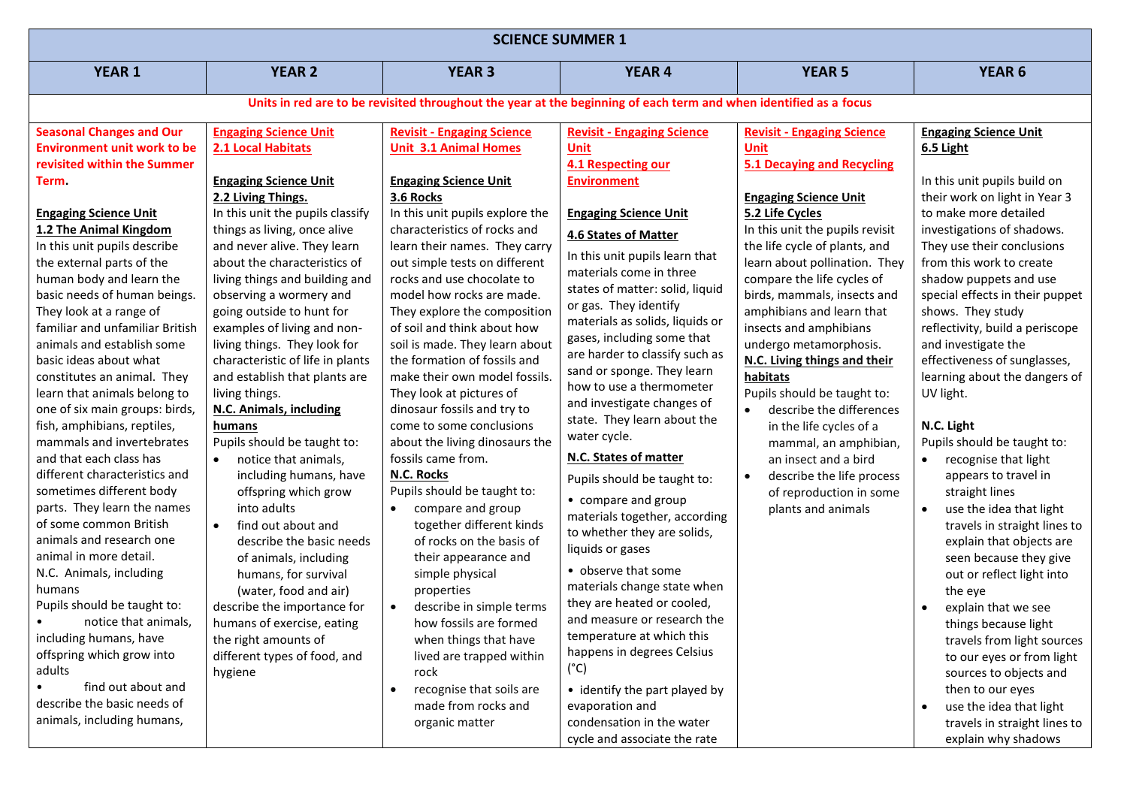| <b>SCIENCE SUMMER 1</b>                                                                                                                                                                                                                                                                                                                                                                                                                                                                                                                                                                                                                                                                                                                                                                                                                                                                                                                                                                                                                                              |                                                                                                                                                                                                                                                                                                                                                                                                                                                                                                                                                                                                                                                                                                                                                                                                                                                                                                                                   |                                                                                                                                                                                                                                                                                                                                                                                                                                                                                                                                                                                                                                                                                                                                                                                                                                                                                                                                                                                                                                      |                                                                                                                                                                                                                                                                                                                                                                                                                                                                                                                                                                                                                                                                                                                                                                                                                                                                                                                                                                                   |                                                                                                                                                                                                                                                                                                                                                                                                                                                                                                                                                                                                                                                                           |                                                                                                                                                                                                                                                                                                                                                                                                                                                                                                                                                                                                                                                                                                                                                                                                                                                                                                                                                                                         |  |  |  |
|----------------------------------------------------------------------------------------------------------------------------------------------------------------------------------------------------------------------------------------------------------------------------------------------------------------------------------------------------------------------------------------------------------------------------------------------------------------------------------------------------------------------------------------------------------------------------------------------------------------------------------------------------------------------------------------------------------------------------------------------------------------------------------------------------------------------------------------------------------------------------------------------------------------------------------------------------------------------------------------------------------------------------------------------------------------------|-----------------------------------------------------------------------------------------------------------------------------------------------------------------------------------------------------------------------------------------------------------------------------------------------------------------------------------------------------------------------------------------------------------------------------------------------------------------------------------------------------------------------------------------------------------------------------------------------------------------------------------------------------------------------------------------------------------------------------------------------------------------------------------------------------------------------------------------------------------------------------------------------------------------------------------|--------------------------------------------------------------------------------------------------------------------------------------------------------------------------------------------------------------------------------------------------------------------------------------------------------------------------------------------------------------------------------------------------------------------------------------------------------------------------------------------------------------------------------------------------------------------------------------------------------------------------------------------------------------------------------------------------------------------------------------------------------------------------------------------------------------------------------------------------------------------------------------------------------------------------------------------------------------------------------------------------------------------------------------|-----------------------------------------------------------------------------------------------------------------------------------------------------------------------------------------------------------------------------------------------------------------------------------------------------------------------------------------------------------------------------------------------------------------------------------------------------------------------------------------------------------------------------------------------------------------------------------------------------------------------------------------------------------------------------------------------------------------------------------------------------------------------------------------------------------------------------------------------------------------------------------------------------------------------------------------------------------------------------------|---------------------------------------------------------------------------------------------------------------------------------------------------------------------------------------------------------------------------------------------------------------------------------------------------------------------------------------------------------------------------------------------------------------------------------------------------------------------------------------------------------------------------------------------------------------------------------------------------------------------------------------------------------------------------|-----------------------------------------------------------------------------------------------------------------------------------------------------------------------------------------------------------------------------------------------------------------------------------------------------------------------------------------------------------------------------------------------------------------------------------------------------------------------------------------------------------------------------------------------------------------------------------------------------------------------------------------------------------------------------------------------------------------------------------------------------------------------------------------------------------------------------------------------------------------------------------------------------------------------------------------------------------------------------------------|--|--|--|
| <b>YEAR 1</b>                                                                                                                                                                                                                                                                                                                                                                                                                                                                                                                                                                                                                                                                                                                                                                                                                                                                                                                                                                                                                                                        | <b>YEAR 2</b>                                                                                                                                                                                                                                                                                                                                                                                                                                                                                                                                                                                                                                                                                                                                                                                                                                                                                                                     | <b>YEAR 3</b>                                                                                                                                                                                                                                                                                                                                                                                                                                                                                                                                                                                                                                                                                                                                                                                                                                                                                                                                                                                                                        | <b>YEAR 4</b>                                                                                                                                                                                                                                                                                                                                                                                                                                                                                                                                                                                                                                                                                                                                                                                                                                                                                                                                                                     | <b>YEAR 5</b>                                                                                                                                                                                                                                                                                                                                                                                                                                                                                                                                                                                                                                                             | <b>YEAR 6</b>                                                                                                                                                                                                                                                                                                                                                                                                                                                                                                                                                                                                                                                                                                                                                                                                                                                                                                                                                                           |  |  |  |
|                                                                                                                                                                                                                                                                                                                                                                                                                                                                                                                                                                                                                                                                                                                                                                                                                                                                                                                                                                                                                                                                      | Units in red are to be revisited throughout the year at the beginning of each term and when identified as a focus                                                                                                                                                                                                                                                                                                                                                                                                                                                                                                                                                                                                                                                                                                                                                                                                                 |                                                                                                                                                                                                                                                                                                                                                                                                                                                                                                                                                                                                                                                                                                                                                                                                                                                                                                                                                                                                                                      |                                                                                                                                                                                                                                                                                                                                                                                                                                                                                                                                                                                                                                                                                                                                                                                                                                                                                                                                                                                   |                                                                                                                                                                                                                                                                                                                                                                                                                                                                                                                                                                                                                                                                           |                                                                                                                                                                                                                                                                                                                                                                                                                                                                                                                                                                                                                                                                                                                                                                                                                                                                                                                                                                                         |  |  |  |
| <b>Seasonal Changes and Our</b><br><b>Environment unit work to be</b><br>revisited within the Summer<br>Term.<br><b>Engaging Science Unit</b><br>1.2 The Animal Kingdom<br>In this unit pupils describe<br>the external parts of the<br>human body and learn the<br>basic needs of human beings.<br>They look at a range of<br>familiar and unfamiliar British<br>animals and establish some<br>basic ideas about what<br>constitutes an animal. They<br>learn that animals belong to<br>one of six main groups: birds,<br>fish, amphibians, reptiles,<br>mammals and invertebrates<br>and that each class has<br>different characteristics and<br>sometimes different body<br>parts. They learn the names<br>of some common British<br>animals and research one<br>animal in more detail.<br>N.C. Animals, including<br>humans<br>Pupils should be taught to:<br>notice that animals,<br>$\bullet$<br>including humans, have<br>offspring which grow into<br>adults<br>find out about and<br>$\bullet$<br>describe the basic needs of<br>animals, including humans, | <b>Engaging Science Unit</b><br>2.1 Local Habitats<br><b>Engaging Science Unit</b><br>2.2 Living Things.<br>In this unit the pupils classify<br>things as living, once alive<br>and never alive. They learn<br>about the characteristics of<br>living things and building and<br>observing a wormery and<br>going outside to hunt for<br>examples of living and non-<br>living things. They look for<br>characteristic of life in plants<br>and establish that plants are<br>living things.<br>N.C. Animals, including<br>humans<br>Pupils should be taught to:<br>notice that animals,<br>including humans, have<br>offspring which grow<br>into adults<br>find out about and<br>$\bullet$<br>describe the basic needs<br>of animals, including<br>humans, for survival<br>(water, food and air)<br>describe the importance for<br>humans of exercise, eating<br>the right amounts of<br>different types of food, and<br>hygiene | <b>Revisit - Engaging Science</b><br><b>Unit 3.1 Animal Homes</b><br><b>Engaging Science Unit</b><br>3.6 Rocks<br>In this unit pupils explore the<br>characteristics of rocks and<br>learn their names. They carry<br>out simple tests on different<br>rocks and use chocolate to<br>model how rocks are made.<br>They explore the composition<br>of soil and think about how<br>soil is made. They learn about<br>the formation of fossils and<br>make their own model fossils.<br>They look at pictures of<br>dinosaur fossils and try to<br>come to some conclusions<br>about the living dinosaurs the<br>fossils came from.<br>N.C. Rocks<br>Pupils should be taught to:<br>compare and group<br>$\bullet$<br>together different kinds<br>of rocks on the basis of<br>their appearance and<br>simple physical<br>properties<br>describe in simple terms<br>$\bullet$<br>how fossils are formed<br>when things that have<br>lived are trapped within<br>rock<br>recognise that soils are<br>made from rocks and<br>organic matter | <b>Revisit - Engaging Science</b><br><b>Unit</b><br>4.1 Respecting our<br><b>Environment</b><br><b>Engaging Science Unit</b><br><b>4.6 States of Matter</b><br>In this unit pupils learn that<br>materials come in three<br>states of matter: solid, liquid<br>or gas. They identify<br>materials as solids, liquids or<br>gases, including some that<br>are harder to classify such as<br>sand or sponge. They learn<br>how to use a thermometer<br>and investigate changes of<br>state. They learn about the<br>water cycle.<br>N.C. States of matter<br>Pupils should be taught to:<br>• compare and group<br>materials together, according<br>to whether they are solids,<br>liquids or gases<br>• observe that some<br>materials change state when<br>they are heated or cooled,<br>and measure or research the<br>temperature at which this<br>happens in degrees Celsius<br>$(^{\circ}C)$<br>• identify the part played by<br>evaporation and<br>condensation in the water | <b>Revisit - Engaging Science</b><br><b>Unit</b><br><b>5.1 Decaying and Recycling</b><br><b>Engaging Science Unit</b><br>5.2 Life Cycles<br>In this unit the pupils revisit<br>the life cycle of plants, and<br>learn about pollination. They<br>compare the life cycles of<br>birds, mammals, insects and<br>amphibians and learn that<br>insects and amphibians<br>undergo metamorphosis.<br>N.C. Living things and their<br>habitats<br>Pupils should be taught to:<br>describe the differences<br>in the life cycles of a<br>mammal, an amphibian,<br>an insect and a bird<br>describe the life process<br>$\bullet$<br>of reproduction in some<br>plants and animals | <b>Engaging Science Unit</b><br>6.5 Light<br>In this unit pupils build on<br>their work on light in Year 3<br>to make more detailed<br>investigations of shadows.<br>They use their conclusions<br>from this work to create<br>shadow puppets and use<br>special effects in their puppet<br>shows. They study<br>reflectivity, build a periscope<br>and investigate the<br>effectiveness of sunglasses,<br>learning about the dangers of<br>UV light.<br>N.C. Light<br>Pupils should be taught to:<br>recognise that light<br>$\bullet$<br>appears to travel in<br>straight lines<br>use the idea that light<br>$\bullet$<br>travels in straight lines to<br>explain that objects are<br>seen because they give<br>out or reflect light into<br>the eye<br>explain that we see<br>things because light<br>travels from light sources<br>to our eyes or from light<br>sources to objects and<br>then to our eyes<br>use the idea that light<br>$\bullet$<br>travels in straight lines to |  |  |  |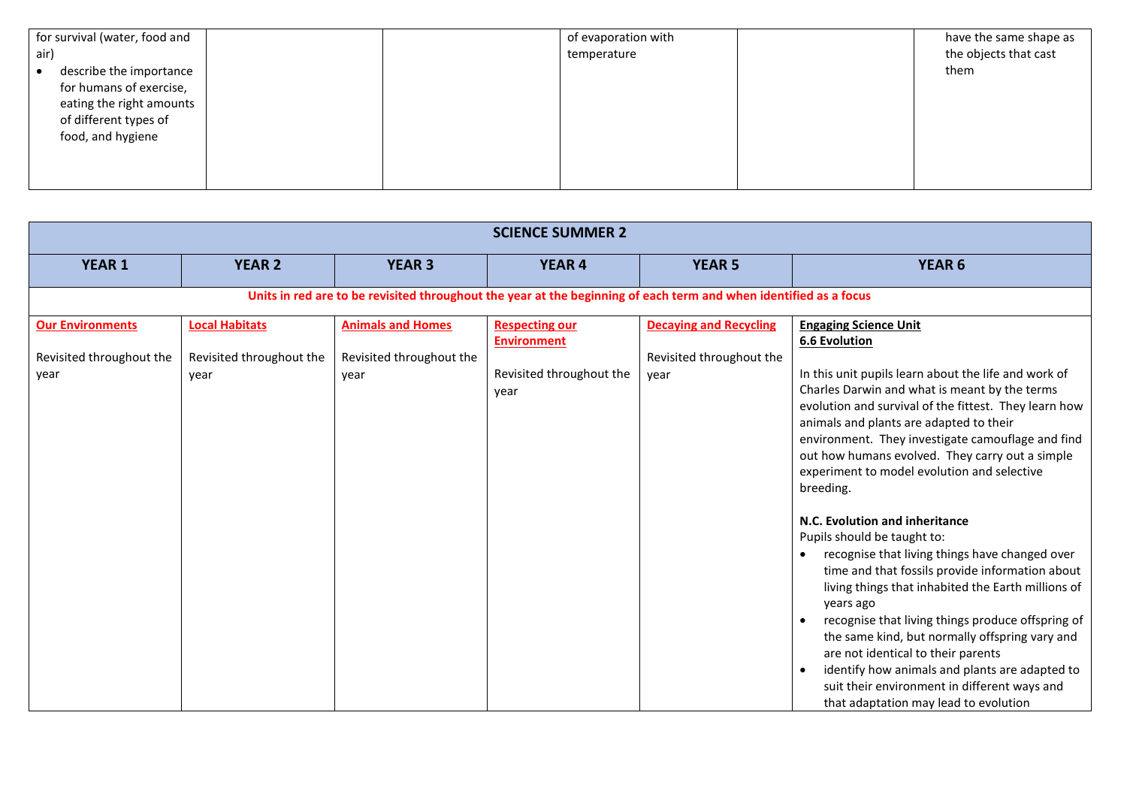| for survival (water, food and |  | of evaporation with | have the same shape as |
|-------------------------------|--|---------------------|------------------------|
| air)                          |  | temperature         | the objects that cast  |
| describe the importance       |  |                     | them                   |
| for humans of exercise,       |  |                     |                        |
| eating the right amounts      |  |                     |                        |
| of different types of         |  |                     |                        |
| food, and hygiene             |  |                     |                        |
|                               |  |                     |                        |
|                               |  |                     |                        |
|                               |  |                     |                        |

| <b>SCIENCE SUMMER 2</b>                                     |                                                           |                                                                                                                   |                                                                                 |                                                                   |                                                                                                                                                                                                                                                                                                                                                                                                                                                                                                                                                                                                                                                                                                                                                                                                                                                                                                                                                                                                               |  |  |  |
|-------------------------------------------------------------|-----------------------------------------------------------|-------------------------------------------------------------------------------------------------------------------|---------------------------------------------------------------------------------|-------------------------------------------------------------------|---------------------------------------------------------------------------------------------------------------------------------------------------------------------------------------------------------------------------------------------------------------------------------------------------------------------------------------------------------------------------------------------------------------------------------------------------------------------------------------------------------------------------------------------------------------------------------------------------------------------------------------------------------------------------------------------------------------------------------------------------------------------------------------------------------------------------------------------------------------------------------------------------------------------------------------------------------------------------------------------------------------|--|--|--|
| <b>YEAR 1</b>                                               | <b>YEAR 2</b>                                             | <b>YEAR 3</b>                                                                                                     | <b>YEAR 4</b>                                                                   | <b>YEAR 5</b>                                                     | <b>YEAR 6</b>                                                                                                                                                                                                                                                                                                                                                                                                                                                                                                                                                                                                                                                                                                                                                                                                                                                                                                                                                                                                 |  |  |  |
|                                                             |                                                           | Units in red are to be revisited throughout the year at the beginning of each term and when identified as a focus |                                                                                 |                                                                   |                                                                                                                                                                                                                                                                                                                                                                                                                                                                                                                                                                                                                                                                                                                                                                                                                                                                                                                                                                                                               |  |  |  |
| <b>Our Environments</b><br>Revisited throughout the<br>year | <b>Local Habitats</b><br>Revisited throughout the<br>year | <b>Animals and Homes</b><br>Revisited throughout the<br>year                                                      | <b>Respecting our</b><br><b>Environment</b><br>Revisited throughout the<br>year | <b>Decaying and Recycling</b><br>Revisited throughout the<br>year | <b>Engaging Science Unit</b><br><b>6.6 Evolution</b><br>In this unit pupils learn about the life and work of<br>Charles Darwin and what is meant by the terms<br>evolution and survival of the fittest. They learn how<br>animals and plants are adapted to their<br>environment. They investigate camouflage and find<br>out how humans evolved. They carry out a simple<br>experiment to model evolution and selective<br>breeding.<br>N.C. Evolution and inheritance<br>Pupils should be taught to:<br>recognise that living things have changed over<br>$\bullet$<br>time and that fossils provide information about<br>living things that inhabited the Earth millions of<br>years ago<br>recognise that living things produce offspring of<br>$\bullet$<br>the same kind, but normally offspring vary and<br>are not identical to their parents<br>identify how animals and plants are adapted to<br>$\bullet$<br>suit their environment in different ways and<br>that adaptation may lead to evolution |  |  |  |